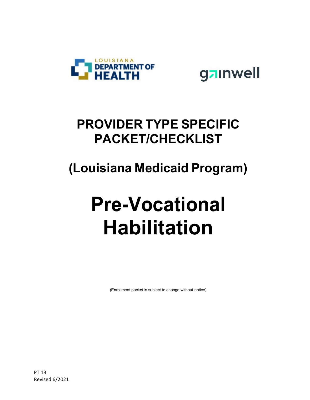



### **PROVIDER TYPE SPECIFIC PACKET/CHECKLIST**

## **(Louisiana Medicaid Program)**

# **Pre-Vocational Habilitation**

(Enrollment packet is subject to change without notice)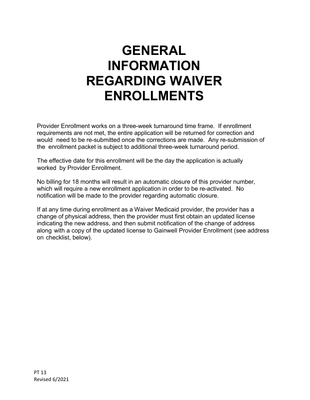### **GENERAL INFORMATION REGARDING WAIVER ENROLLMENTS**

Provider Enrollment works on a three-week turnaround time frame. If enrollment requirements are not met, the entire application will be returned for correction and would need to be re-submitted once the corrections are made. Any re-submission of the enrollment packet is subject to additional three-week turnaround period.

The effective date for this enrollment will be the day the application is actually worked by Provider Enrollment.

No billing for 18 months will result in an automatic closure of this provider number, which will require a new enrollment application in order to be re-activated. No notification will be made to the provider regarding automatic closure.

If at any time during enrollment as a Waiver Medicaid provider, the provider has a change of physical address, then the provider must first obtain an updated license indicating the new address, and then submit notification of the change of address along with a copy of the updated license to Gainwell Provider Enrollment (see address on checklist, below).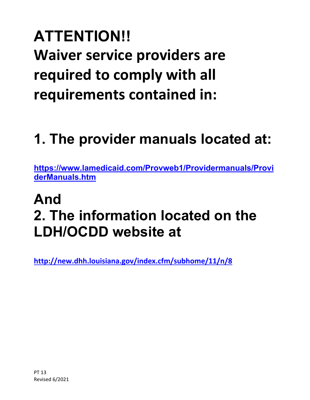## **ATTENTION!! Waiver service providers are required to comply with all requirements contained in:**

## **1. The provider manuals located at:**

**[https://www.lamedicaid.com/Provweb1/Providermanuals/Provi](https://www.lamedicaid.com/Provweb1/Providermanuals/ProviderManuals.htm) [derManuals.htm](https://www.lamedicaid.com/Provweb1/Providermanuals/ProviderManuals.htm)**

## **And 2. The information located on the LDH/OCDD website at**

**<http://new.dhh.louisiana.gov/index.cfm/subhome/11/n/8>**